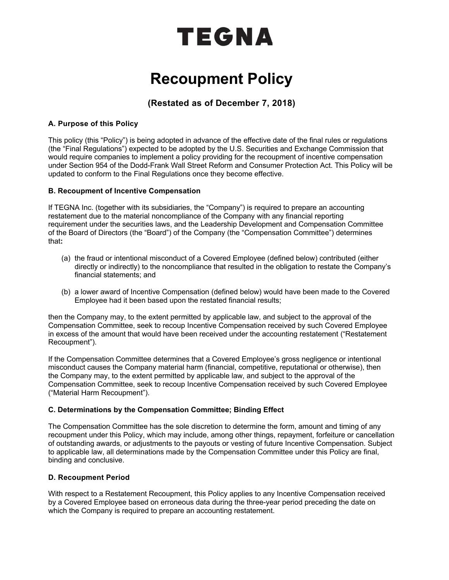# TEGNA

## **Recoupment Policy**

### **(Restated as of December 7, 2018)**

#### **A. Purpose of this Policy**

This policy (this "Policy") is being adopted in advance of the effective date of the final rules or regulations (the "Final Regulations") expected to be adopted by the U.S. Securities and Exchange Commission that would require companies to implement a policy providing for the recoupment of incentive compensation under Section 954 of the Dodd-Frank Wall Street Reform and Consumer Protection Act. This Policy will be updated to conform to the Final Regulations once they become effective.

#### **B. Recoupment of Incentive Compensation**

If TEGNA Inc. (together with its subsidiaries, the "Company") is required to prepare an accounting restatement due to the material noncompliance of the Company with any financial reporting requirement under the securities laws, and the Leadership Development and Compensation Committee of the Board of Directors (the "Board") of the Company (the "Compensation Committee") determines that**:**

- (a) the fraud or intentional misconduct of a Covered Employee (defined below) contributed (either directly or indirectly) to the noncompliance that resulted in the obligation to restate the Company's financial statements; and
- (b) a lower award of Incentive Compensation (defined below) would have been made to the Covered Employee had it been based upon the restated financial results;

then the Company may, to the extent permitted by applicable law, and subject to the approval of the Compensation Committee, seek to recoup Incentive Compensation received by such Covered Employee in excess of the amount that would have been received under the accounting restatement ("Restatement Recoupment").

If the Compensation Committee determines that a Covered Employee's gross negligence or intentional misconduct causes the Company material harm (financial, competitive, reputational or otherwise), then the Company may, to the extent permitted by applicable law, and subject to the approval of the Compensation Committee, seek to recoup Incentive Compensation received by such Covered Employee ("Material Harm Recoupment").

#### **C. Determinations by the Compensation Committee; Binding Effect**

The Compensation Committee has the sole discretion to determine the form, amount and timing of any recoupment under this Policy, which may include, among other things, repayment, forfeiture or cancellation of outstanding awards, or adjustments to the payouts or vesting of future Incentive Compensation. Subject to applicable law, all determinations made by the Compensation Committee under this Policy are final, binding and conclusive.

#### **D. Recoupment Period**

With respect to a Restatement Recoupment, this Policy applies to any Incentive Compensation received by a Covered Employee based on erroneous data during the three-year period preceding the date on which the Company is required to prepare an accounting restatement.